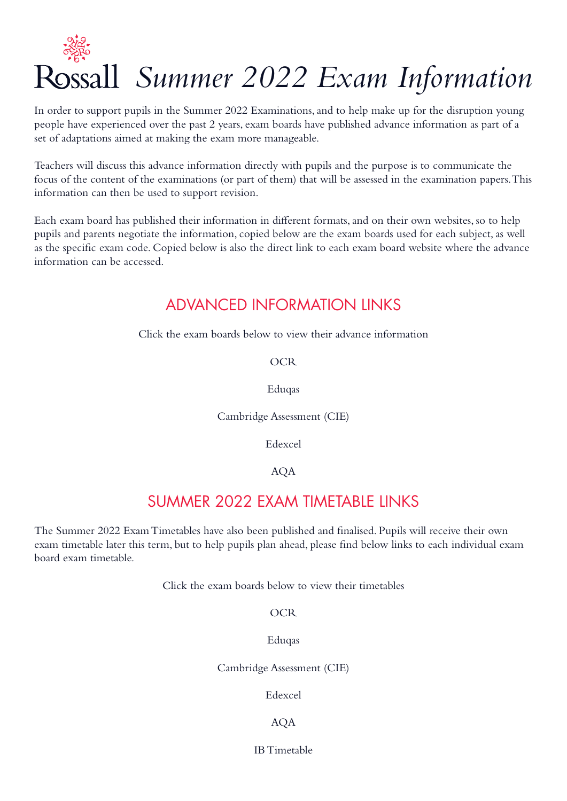

In order to support pupils in the Summer 2022 Examinations, and to help make up for the disruption young people have experienced over the past 2 years, exam boards have published advance information as part of a set of adaptations aimed at making the exam more manageable.

Teachers will discuss this advance information directly with pupils and the purpose is to communicate the focus of the content of the examinations (or part of them) that will be assessed in the examination papers. This information can then be used to support revision.

Each exam board has published their information in different formats, and on their own websites, so to help pupils and parents negotiate the information, copied below are the exam boards used for each subject, as well as the specific exam code. Copied below is also the direct link to each exam board website where the advance information can be accessed.

### ADVANCED INFORMATION LINKS

Click the exam boards below to view their advance information

#### [OCR](https://www.ocr.org.uk/qualifications/2022-advance-information/)

#### [Eduqas](https://www.eduqas.co.uk/home/2022-here-to-support-you/as-a-level-and-gcse-assessment-arrangements/advance-information/)

[Cambridge Assessment \(CIE\)](https://www.cambridgeinternational.org/covid/june2022-exam-series/running-exams/guidance-for-components-june2022-exam-series/) 

[Edexcel](https://qualifications.pearson.com/en/campaigns/summer-2022-support.html) 

#### [AQA](https://www.aqa.org.uk/2022-exam-changes)

### SUMMER 2022 EXAM TIMETABLE LINKS

The Summer 2022 Exam Timetables have also been published and finalised. Pupils will receive their own exam timetable later this term, but to help pupils plan ahead, please find below links to each individual exam board exam timetable.

Click the exam boards below to view their timetables

**[OCR](https://www.ocr.org.uk/administration/general-qualifications/preparation/key-dates-and-timetables/)** 

[Eduqas](https://www.eduqas.co.uk/home/administration/key-dates-and-timetables/#tab_0)

[Cambridge Assessment \(CIE\)](https://www.cambridgeinternational.org/exam-administration/cambridge-exams-officers-guide/phase-1-preparation/timetabling-exams/exam-timetables/)

[Edexcel](https://qualifications.pearson.com/en/support/support-topics/exams/exam-timetables.html) 

#### [AQA](https://www.aqa.org.uk/exams-administration/dates-and-timetables)

[IB Timetable](https://ibo.org/globalassets/programme-information/dp/dp-and-cp-may-examination-session-schedule-2022-en.pdf)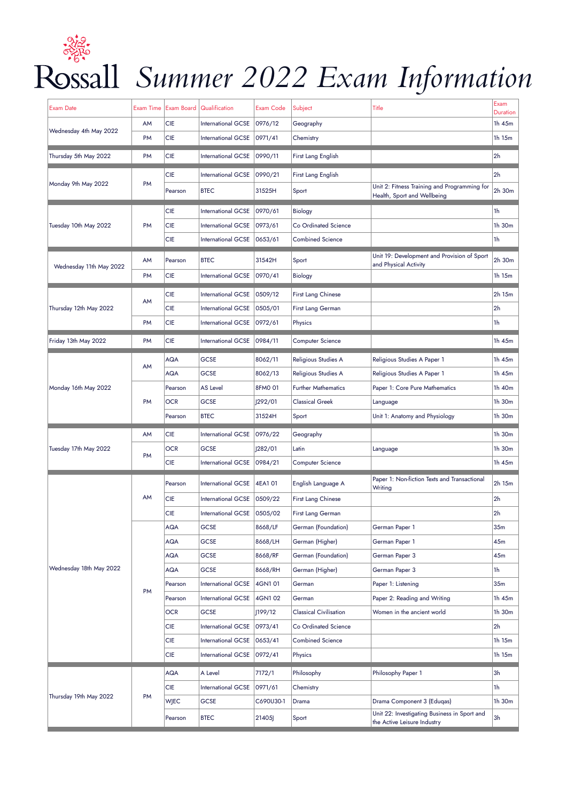

### *Summer 2022 Exam Information*

| Exam Date               | <b>Exam Time</b> |             | Exam Board   Qualification | <b>Exam Code</b> | Subject                       | Title                                                                       | Exam<br><b>Duration</b> |
|-------------------------|------------------|-------------|----------------------------|------------------|-------------------------------|-----------------------------------------------------------------------------|-------------------------|
| Wednesday 4th May 2022  | AM               | <b>CIE</b>  | <b>International GCSE</b>  | 0976/12          | Geography                     |                                                                             | 1h 45m                  |
|                         | PM               | <b>CIE</b>  | International GCSE         | 0971/41          | Chemistry                     |                                                                             | 1h 15m                  |
| Thursday 5th May 2022   | <b>PM</b>        | <b>CIE</b>  | International GCSE         | 0990/11          | First Lang English            |                                                                             | 2h                      |
| Monday 9th May 2022     |                  | <b>CIE</b>  | <b>International GCSE</b>  | 0990/21          | First Lang English            |                                                                             | 2 <sub>h</sub>          |
|                         | PM               | Pearson     | <b>BTEC</b>                | 31525H           | Sport                         | Unit 2: Fitness Training and Programming for<br>Health, Sport and Wellbeing | 2h 30m                  |
|                         |                  | <b>CIE</b>  | <b>International GCSE</b>  | 0970/61          | <b>Biology</b>                |                                                                             | 1h                      |
| Tuesday 10th May 2022   | <b>PM</b>        | <b>CIE</b>  | <b>International GCSE</b>  | 0973/61          | Co Ordinated Science          |                                                                             | 1h 30m                  |
|                         |                  | <b>CIE</b>  | International GCSE         | 0653/61          | <b>Combined Science</b>       |                                                                             | 1h                      |
|                         | AM               | Pearson     | <b>BTEC</b>                | 31542H           | Sport                         | Unit 19: Development and Provision of Sport<br>and Physical Activity        | 2h 30m                  |
| Wednesday 11th May 2022 | <b>PM</b>        | <b>CIE</b>  | International GCSE         | 0970/41          | <b>Biology</b>                |                                                                             | 1h 15m                  |
|                         |                  | <b>CIE</b>  | <b>International GCSE</b>  | 0509/12          | <b>First Lang Chinese</b>     |                                                                             | 2h 15m                  |
| Thursday 12th May 2022  | AM               | <b>CIE</b>  | <b>International GCSE</b>  | 0505/01          | First Lang German             |                                                                             | 2 <sub>h</sub>          |
|                         | <b>PM</b>        | <b>CIE</b>  | International GCSE         | 0972/61          | Physics                       |                                                                             | 1h                      |
| Friday 13th May 2022    | PM               | <b>CIE</b>  | <b>International GCSE</b>  | 0984/11          | <b>Computer Science</b>       |                                                                             | 1h 45m                  |
|                         |                  | <b>AQA</b>  | <b>GCSE</b>                | 8062/11          | Religious Studies A           | Religious Studies A Paper 1                                                 | 1h 45m                  |
|                         | AM               | <b>AQA</b>  | <b>GCSE</b>                | 8062/13          | Religious Studies A           | Religious Studies A Paper 1                                                 | 1h 45m                  |
| Monday 16th May 2022    |                  | Pearson     | <b>AS Level</b>            | 8FM0 01          | <b>Further Mathematics</b>    | Paper 1: Core Pure Mathematics                                              | 1h 40m                  |
|                         | PM               | <b>OCR</b>  | <b>GCSE</b>                | 292/01           | <b>Classical Greek</b>        | Language                                                                    | 1h 30m                  |
|                         |                  | Pearson     | <b>BTEC</b>                | 31524H           | Sport                         | Unit 1: Anatomy and Physiology                                              | 1h 30m                  |
|                         | AM               | <b>CIE</b>  | International GCSE         | 0976/22          | Geography                     |                                                                             | 1h 30m                  |
| Tuesday 17th May 2022   | PM               | <b>OCR</b>  | <b>GCSE</b>                | 282/01           | Latin                         | Language                                                                    | 1h 30m                  |
|                         |                  | <b>CIE</b>  | International GCSE         | 0984/21          | <b>Computer Science</b>       |                                                                             | 1h 45m                  |
|                         | AM<br><b>PM</b>  | Pearson     | International GCSE         | 4EA101           | English Language A            | Paper 1: Non-fiction Texts and Transactional                                | 2h 15m                  |
|                         |                  | <b>CIE</b>  | <b>International GCSE</b>  | 0509/22          | First Lang Chinese            | Writing                                                                     | 2 <sub>h</sub>          |
|                         |                  | <b>CIE</b>  | International GCSE         | 0505/02          | First Lang German             |                                                                             | 2h                      |
|                         |                  | <b>AQA</b>  | <b>GCSE</b>                | 8668/LF          | German (Foundation)           | German Paper 1                                                              | 35m                     |
|                         |                  | <b>AQA</b>  | <b>GCSE</b>                | 8668/LH          | German (Higher)               | German Paper 1                                                              | 45m                     |
|                         |                  | <b>AQA</b>  | <b>GCSE</b>                | 8668/RF          | German (Foundation)           | German Paper 3                                                              | 45m                     |
| Wednesday 18th May 2022 |                  | <b>AQA</b>  | <b>GCSE</b>                | 8668/RH          | German (Higher)               | German Paper 3                                                              | 1h                      |
|                         |                  | Pearson     | <b>International GCSE</b>  | 4GN101           | German                        | Paper 1: Listening                                                          | 35m                     |
|                         |                  | Pearson     | <b>International GCSE</b>  | 4GN102           | German                        | Paper 2: Reading and Writing                                                | 1h 45m                  |
|                         |                  | <b>OCR</b>  | <b>GCSE</b>                | 199/12           | <b>Classical Civilisation</b> | Women in the ancient world                                                  | 1h 30m                  |
|                         |                  | <b>CIE</b>  | International GCSE         | 0973/41          | Co Ordinated Science          |                                                                             | 2h                      |
|                         |                  | <b>CIE</b>  | International GCSE         | 0653/41          | <b>Combined Science</b>       |                                                                             | 1h 15m                  |
|                         |                  | <b>CIE</b>  | International GCSE         | 0972/41          | Physics                       |                                                                             | 1h 15m                  |
|                         | <b>PM</b>        | <b>AQA</b>  | A Level                    | 7172/1           | Philosophy                    | Philosophy Paper 1                                                          | 3h                      |
|                         |                  | <b>CIE</b>  | International GCSE         | 0971/61          | Chemistry                     |                                                                             | 1h                      |
| Thursday 19th May 2022  |                  | <b>WIEC</b> | <b>GCSE</b>                | C690U30-1        | Drama                         | Drama Component 3 (Eduqas)                                                  | 1h 30m                  |
|                         |                  | Pearson     | <b>BTEC</b>                | 21405            | Sport                         | Unit 22: Investigating Business in Sport and<br>the Active Leisure Industry | 3h                      |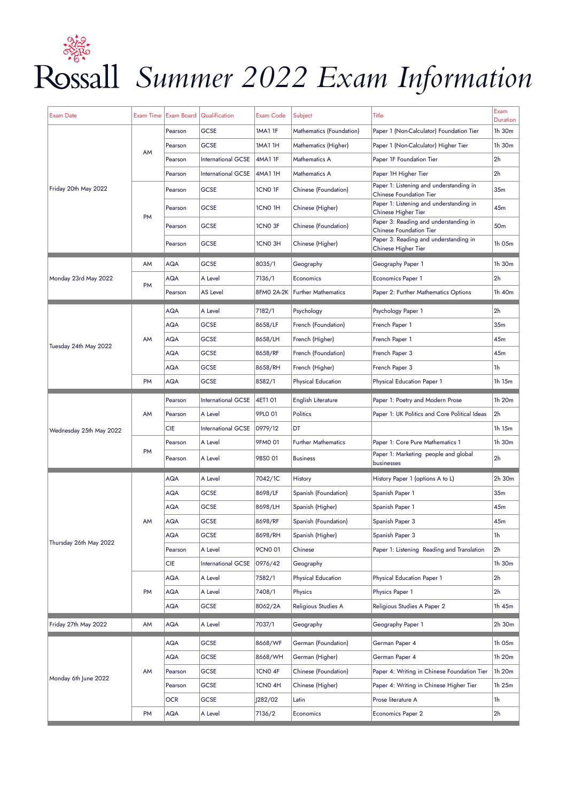## *Summer 2022 Exam Information*

| <b>Exam Date</b>        | Exam Time | Exam Board | Qualification             | Exam Code      | Subject                          | Title                                                                     | Exam                      |
|-------------------------|-----------|------------|---------------------------|----------------|----------------------------------|---------------------------------------------------------------------------|---------------------------|
| Friday 20th May 2022    |           | Pearson    | <b>GCSE</b>               | <b>1MA1 1F</b> | Mathematics (Foundation)         | Paper 1 (Non-Calculator) Foundation Tier                                  | <b>Duration</b><br>1h 30m |
|                         |           | Pearson    | <b>GCSE</b>               | <b>1MA1 1H</b> | Mathematics (Higher)             | Paper 1 (Non-Calculator) Higher Tier                                      | 1h 30m                    |
|                         | <b>AM</b> | Pearson    | <b>International GCSE</b> | <b>4MA1 1F</b> | Mathematics A                    | Paper 1F Foundation Tier                                                  | 2 <sub>h</sub>            |
|                         |           | Pearson    | <b>International GCSE</b> | 4MA1 1H        | Mathematics A                    | Paper 1H Higher Tier                                                      | 2 <sub>h</sub>            |
|                         |           | Pearson    | <b>GCSE</b>               | 1CN0 1F        | Chinese (Foundation)             | Paper 1: Listening and understanding in<br><b>Chinese Foundation Tier</b> | 35 <sub>m</sub>           |
|                         |           | Pearson    | <b>GCSE</b>               | 1CN0 1H        | Chinese (Higher)                 | Paper 1: Listening and understanding in<br>Chinese Higher Tier            | 45m                       |
|                         | <b>PM</b> | Pearson    | <b>GCSE</b>               | 1CN0 3F        | Chinese (Foundation)             | Paper 3: Reading and understanding in<br><b>Chinese Foundation Tier</b>   | 50m                       |
|                         |           | Pearson    | <b>GCSE</b>               | 1CN0 3H        | Chinese (Higher)                 | Paper 3: Reading and understanding in<br>Chinese Higher Tier              | 1h 05m                    |
|                         | AM        | <b>AQA</b> | <b>GCSE</b>               | 8035/1         | Geography                        | Geography Paper 1                                                         | 1h 30m                    |
| Monday 23rd May 2022    |           | <b>AQA</b> | A Level                   | 7136/1         | Economics                        | <b>Economics Paper 1</b>                                                  | 2h                        |
|                         | PM        | Pearson    | <b>AS Level</b>           |                | 8FMO 2A-2K   Further Mathematics | Paper 2: Further Mathematics Options                                      | 1h 40m                    |
|                         |           | AQA        | A Level                   | 7182/1         | Psychology                       | Psychology Paper 1                                                        | 2h                        |
|                         |           | <b>AQA</b> | <b>GCSE</b>               | 8658/LF        | French (Foundation)              | French Paper 1                                                            | 35m                       |
|                         | AM        | AQA        | <b>GCSE</b>               | 8658/LH        | French (Higher)                  | French Paper 1                                                            | 45m                       |
| Tuesday 24th May 2022   |           | AQA        | <b>GCSE</b>               | 8658/RF        | French (Foundation)              | French Paper 3                                                            | 45m                       |
|                         |           | <b>AQA</b> | <b>GCSE</b>               | 8658/RH        | French (Higher)                  | French Paper 3                                                            | 1h                        |
|                         | <b>PM</b> | <b>AQA</b> | <b>GCSE</b>               | 8582/1         | <b>Physical Education</b>        | <b>Physical Education Paper 1</b>                                         | 1h 15m                    |
|                         |           | Pearson    | <b>International GCSE</b> | 4ET1 01        | English Literature               | Paper 1: Poetry and Modern Prose                                          | 1h 20m                    |
|                         | AM        | Pearson    | A Level                   | 9PLO 01        | Politics                         | Paper 1: UK Politics and Core Political Ideas                             | 2h                        |
| Wednesday 25th May 2022 |           | <b>CIE</b> | <b>International GCSE</b> | 0979/12        | DT                               |                                                                           | 1h 15m                    |
|                         | <b>PM</b> | Pearson    | A Level                   | 9FM0 01        | <b>Further Mathematics</b>       | Paper 1: Core Pure Mathematics 1                                          | 1h 30m                    |
|                         |           | Pearson    | A Level                   | 9BS0 01        | <b>Business</b>                  | Paper 1: Marketing people and global<br>businesses                        | 2h                        |
|                         | AΜ        | <b>AQA</b> | A Level                   | 7042/1C        | History                          | History Paper 1 (options A to L)                                          | 2h 30m                    |
|                         |           | <b>AQA</b> | <b>GCSE</b>               | 8698/LF        | Spanish (Foundation)             | Spanish Paper 1                                                           | 35m                       |
|                         |           | <b>AQA</b> | <b>GCSE</b>               | 8698/LH        | Spanish (Higher)                 | Spanish Paper 1                                                           | 45m                       |
|                         |           | AQA        | <b>GCSE</b>               | 8698/RF        | Spanish (Foundation)             | Spanish Paper 3                                                           | 45m                       |
|                         |           | <b>AQA</b> | <b>GCSE</b>               | 8698/RH        | Spanish (Higher)                 | Spanish Paper 3                                                           | 1h                        |
| Thursday 26th May 2022  |           | Pearson    | A Level                   | 9CN0 01        | Chinese                          | Paper 1: Listening Reading and Translation                                | 2 <sub>h</sub>            |
|                         |           | <b>CIE</b> | International GCSE        | 0976/42        | Geography                        |                                                                           | 1h 30m                    |
|                         | <b>PM</b> | <b>AQA</b> | A Level                   | 7582/1         | <b>Physical Education</b>        | Physical Education Paper 1                                                | 2h                        |
|                         |           | AQA        | A Level                   | 7408/1         | Physics                          | Physics Paper 1                                                           | 2h                        |
|                         |           | AQA        | <b>GCSE</b>               | 8062/2A        | Religious Studies A              | Religious Studies A Paper 2                                               | 1h 45m                    |
| Friday 27th May 2022    | AM        | <b>AQA</b> | A Level                   | 7037/1         | Geography                        | Geography Paper 1                                                         | 2h 30m                    |
| Monday 6th June 2022    | AM        | <b>AQA</b> | <b>GCSE</b>               | 8668/WF        | German (Foundation)              | German Paper 4                                                            | 1h 05m                    |
|                         |           | AQA        | <b>GCSE</b>               | 8668/WH        | German (Higher)                  | German Paper 4                                                            | 1h 20m                    |
|                         |           | Pearson    | <b>GCSE</b>               | 1CN0 4F        | Chinese (Foundation)             | Paper 4: Writing in Chinese Foundation Tier                               | 1h 20m                    |
|                         |           | Pearson    | <b>GCSE</b>               | 1CN0 4H        | Chinese (Higher)                 | Paper 4: Writing in Chinese Higher Tier                                   | 1h 25m                    |
|                         |           | <b>OCR</b> | <b>GCSE</b>               | J282/02        | Latin                            | Prose literature A                                                        | 1h                        |
|                         | <b>PM</b> | AQA        | A Level                   | 7136/2         | Economics                        | Economics Paper 2                                                         | 2h                        |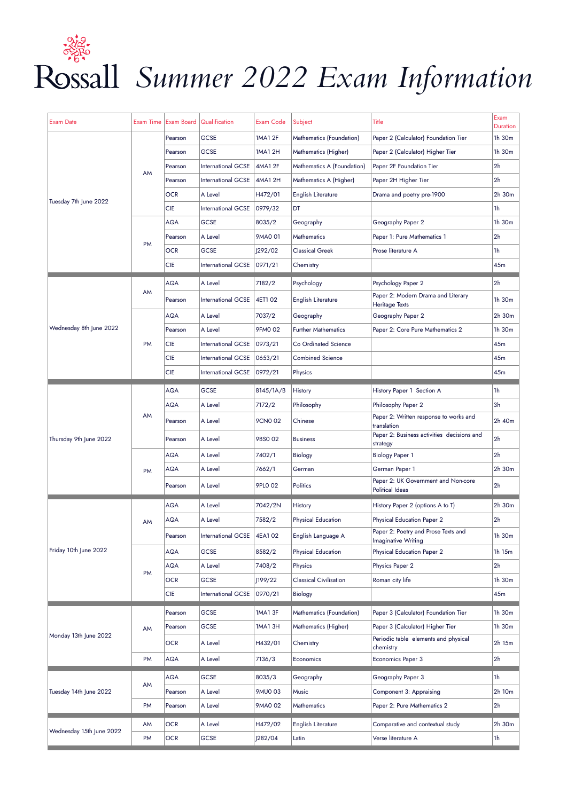# Rossall Summer 2022 Exam Information

| Exam Date                | Exam Time |                    | <b>Exam Board   Qualification</b> | <b>Exam Code</b> | Subject                       | Title                                                             | Exam                      |
|--------------------------|-----------|--------------------|-----------------------------------|------------------|-------------------------------|-------------------------------------------------------------------|---------------------------|
| Tuesday 7th June 2022    | AM        | Pearson            | <b>GCSE</b>                       | 1MA1 2F          | Mathematics (Foundation)      | Paper 2 (Calculator) Foundation Tier                              | <b>Duration</b><br>1h 30m |
|                          |           | Pearson            | <b>GCSE</b>                       | 1MA1 2H          | Mathematics (Higher)          | Paper 2 (Calculator) Higher Tier                                  | 1h 30m                    |
|                          |           |                    | International GCSE                | 4MA1 2F          | Mathematics A (Foundation)    | Paper 2F Foundation Tier                                          | 2h                        |
|                          |           | Pearson<br>Pearson | International GCSE                | 4MA1 2H          | Mathematics A (Higher)        | Paper 2H Higher Tier                                              | 2h                        |
|                          |           |                    | A Level                           |                  |                               |                                                                   | 2h 30m                    |
|                          |           | <b>OCR</b>         |                                   | H472/01          | English Literature            | Drama and poetry pre-1900                                         |                           |
|                          |           | <b>CIE</b>         | International GCSE                | 0979/32          | DT                            |                                                                   | 1h                        |
|                          |           | <b>AQA</b>         | <b>GCSE</b>                       | 8035/2           | Geography                     | Geography Paper 2                                                 | 1h 30m                    |
|                          | PM        | Pearson            | A Level                           | 9MA0 01          | <b>Mathematics</b>            | Paper 1: Pure Mathematics 1                                       | 2h                        |
|                          |           | <b>OCR</b>         | <b>GCSE</b>                       | 292/02           | <b>Classical Greek</b>        | Prose literature A                                                | 1h                        |
|                          |           | <b>CIE</b>         | International GCSE                | 0971/21          | Chemistry                     |                                                                   | 45m                       |
|                          |           | <b>AQA</b>         | A Level                           | 7182/2           | Psychology                    | Psychology Paper 2                                                | 2h                        |
|                          | AM        | Pearson            | <b>International GCSE</b>         | 4ET1 02          | English Literature            | Paper 2: Modern Drama and Literary<br><b>Heritage Texts</b>       | 1h 30m                    |
|                          |           | <b>AQA</b>         | A Level                           | 7037/2           | Geography                     | Geography Paper 2                                                 | 2h 30m                    |
| Wednesday 8th June 2022  |           | Pearson            | A Level                           | 9FM0 02          | <b>Further Mathematics</b>    | Paper 2: Core Pure Mathematics 2                                  | 1h 30m                    |
|                          | <b>PM</b> | <b>CIE</b>         | <b>International GCSE</b>         | 0973/21          | Co Ordinated Science          |                                                                   | 45m                       |
|                          |           | <b>CIE</b>         | <b>International GCSE</b>         | 0653/21          | <b>Combined Science</b>       |                                                                   | 45m                       |
|                          |           | <b>CIE</b>         | International GCSE                | 0972/21          | Physics                       |                                                                   | 45m                       |
|                          | AM        | <b>AQA</b>         | <b>GCSE</b>                       | 8145/1A/B        | History                       | History Paper 1 Section A                                         | 1h                        |
| Thursday 9th June 2022   |           | <b>AQA</b>         | A Level                           | 7172/2           | Philosophy                    | Philosophy Paper 2                                                | Зh                        |
|                          |           | Pearson            | A Level                           | 9CN0 02          | Chinese                       | Paper 2: Written response to works and<br>translation             | 2h 40m                    |
|                          |           | Pearson            | A Level                           | 9BS0 02          | <b>Business</b>               | Paper 2: Business activities decisions and<br>strategy            | 2h                        |
|                          | <b>PM</b> | <b>AQA</b>         | A Level                           | 7402/1           | Biology                       | <b>Biology Paper 1</b>                                            | 2h                        |
|                          |           | <b>AQA</b>         | A Level                           | 7662/1           | German                        | German Paper 1                                                    | 2h 30m                    |
|                          |           | Pearson            | A Level                           | 9PLO 02          | Politics                      | Paper 2: UK Government and Non-core<br>Political Ideas            | 2h                        |
|                          | AM        | <b>AQA</b>         | A Level                           | 7042/2N          | History                       | History Paper 2 (options A to T)                                  | 2h 30m                    |
|                          |           | <b>AQA</b>         | A Level                           | 7582/2           | <b>Physical Education</b>     | Physical Education Paper 2                                        | 2h                        |
|                          |           | Pearson            | International GCSE                | 4EA102           | English Language A            | Paper 2: Poetry and Prose Texts and<br><b>Imaginative Writing</b> | 1h 30m                    |
| Friday 10th June 2022    | <b>PM</b> | AQA                | <b>GCSE</b>                       | 8582/2           | Physical Education            | Physical Education Paper 2                                        | 1h 15m                    |
|                          |           | <b>AQA</b>         | A Level                           | 7408/2           | Physics                       | Physics Paper 2                                                   | 2h                        |
|                          |           | <b>OCR</b>         | <b>GCSE</b>                       | J199/22          | <b>Classical Civilisation</b> | Roman city life                                                   | 1h 30m                    |
|                          |           | <b>CIE</b>         | International GCSE                | 0970/21          | Biology                       |                                                                   | 45m                       |
| Monday 13th June 2022    | AM        | Pearson            | <b>GCSE</b>                       | <b>1MA1 3F</b>   | Mathematics (Foundation)      | Paper 3 (Calculator) Foundation Tier                              | 1h 30m                    |
|                          |           | Pearson            | <b>GCSE</b>                       | <b>1MA1 3H</b>   | Mathematics (Higher)          | Paper 3 (Calculator) Higher Tier                                  | 1h 30m                    |
|                          |           | <b>OCR</b>         | A Level                           | H432/01          | Chemistry                     | Periodic table elements and physical<br>chemistry                 | 2h 15m                    |
|                          | PM        | AQA                | A Level                           | 7136/3           | Economics                     | Economics Paper 3                                                 | 2h                        |
|                          |           |                    |                                   |                  |                               |                                                                   |                           |
| Tuesday 14th June 2022   | AM        | <b>AQA</b>         | <b>GCSE</b>                       | 8035/3           | Geography                     | Geography Paper 3                                                 | 1h                        |
|                          |           | Pearson            | A Level                           | 9MU0 03          | Music                         | Component 3: Appraising                                           | 2h 10m                    |
|                          | PM        | Pearson            | A Level                           | 9MA0 02          | Mathematics                   | Paper 2: Pure Mathematics 2                                       | 2h                        |
|                          | AM        | <b>OCR</b>         | A Level                           | H472/02          | English Literature            | Comparative and contextual study                                  | 2h 30m                    |
| Wednesday 15th June 2022 | PM        | <b>OCR</b>         | <b>GCSE</b>                       | J282/04          | Latin                         | Verse literature A                                                | 1h                        |